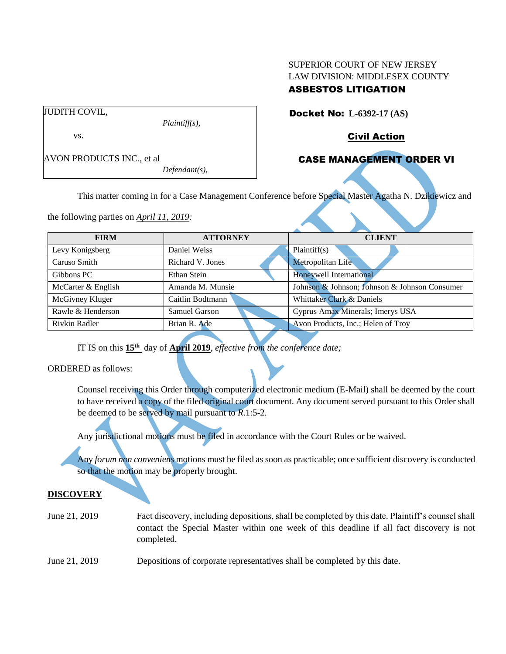## SUPERIOR COURT OF NEW JERSEY LAW DIVISION: MIDDLESEX COUNTY ASBESTOS LITIGATION

Docket No: **L-6392-17 (AS)** 

Civil Action

## CASE MANAGEMENT ORDER VI

JUDITH COVIL,

vs.

AVON PRODUCTS INC., et al

*Defendant(s),*

*Plaintiff(s),*

This matter coming in for a Case Management Conference before Special Master Agatha N. Dzikiewicz and

the following parties on *April 11, 2019:*

| <b>FIRM</b>        | <b>ATTORNEY</b>  | <b>CLIENT</b>                                 |
|--------------------|------------------|-----------------------------------------------|
| Levy Konigsberg    | Daniel Weiss     | Plaintiff(s)                                  |
| Caruso Smith       | Richard V. Jones | Metropolitan Life                             |
| Gibbons PC         | Ethan Stein      | Honeywell International                       |
| McCarter & English | Amanda M. Munsie | Johnson & Johnson; Johnson & Johnson Consumer |
| McGivney Kluger    | Caitlin Bodtmann | Whittaker Clark & Daniels                     |
| Rawle & Henderson  | Samuel Garson    | Cyprus Amax Minerals; Imerys USA              |
| Rivkin Radler      | Brian R. Ade     | Avon Products, Inc.; Helen of Troy            |

IT IS on this **15th** day of **April 2019**, *effective from the conference date;*

ORDERED as follows:

Counsel receiving this Order through computerized electronic medium (E-Mail) shall be deemed by the court to have received a copy of the filed original court document. Any document served pursuant to this Order shall be deemed to be served by mail pursuant to *R*.1:5-2.

Any jurisdictional motions must be filed in accordance with the Court Rules or be waived.

Any *forum non conveniens* motions must be filed as soon as practicable; once sufficient discovery is conducted so that the motion may be properly brought.

### **DISCOVERY**

- June 21, 2019 Fact discovery, including depositions, shall be completed by this date. Plaintiff's counsel shall contact the Special Master within one week of this deadline if all fact discovery is not completed.
- June 21, 2019 Depositions of corporate representatives shall be completed by this date.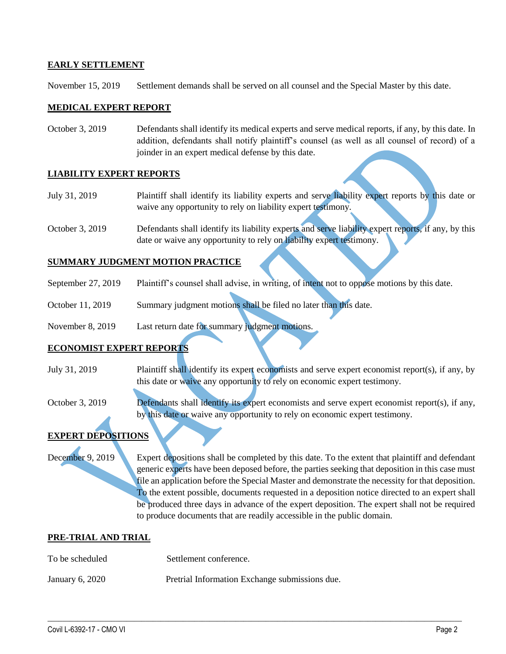### **EARLY SETTLEMENT**

November 15, 2019 Settlement demands shall be served on all counsel and the Special Master by this date.

### **MEDICAL EXPERT REPORT**

October 3, 2019 Defendants shall identify its medical experts and serve medical reports, if any, by this date. In addition, defendants shall notify plaintiff's counsel (as well as all counsel of record) of a joinder in an expert medical defense by this date.

#### **LIABILITY EXPERT REPORTS**

| July 31, 2019 | Plaintiff shall identify its liability experts and serve liability expert reports by this date or |
|---------------|---------------------------------------------------------------------------------------------------|
|               | waive any opportunity to rely on liability expert testimony.                                      |

October 3, 2019 Defendants shall identify its liability experts and serve liability expert reports, if any, by this date or waive any opportunity to rely on liability expert testimony.

#### **SUMMARY JUDGMENT MOTION PRACTICE**

- September 27, 2019 Plaintiff's counsel shall advise, in writing, of intent not to oppose motions by this date.
- October 11, 2019 Summary judgment motions shall be filed no later than this date.

November 8, 2019 Last return date for summary judgment motions.

### **ECONOMIST EXPERT REPORT**

| July 31, 2019   | Plaintiff shall identify its expert economists and serve expert economist report(s), if any, by |
|-----------------|-------------------------------------------------------------------------------------------------|
|                 | this date or waive any opportunity to rely on economic expert testimony.                        |
|                 |                                                                                                 |
| October 3, 2019 | Defendants shall identify its expert economists and serve expert economist report(s), if any,   |
|                 | by this date or waive any opportunity to rely on economic expert testimony.                     |

# **EXPERT DEPOSITIONS**

December 9, 2019 Expert depositions shall be completed by this date. To the extent that plaintiff and defendant generic experts have been deposed before, the parties seeking that deposition in this case must file an application before the Special Master and demonstrate the necessity for that deposition. To the extent possible, documents requested in a deposition notice directed to an expert shall be produced three days in advance of the expert deposition. The expert shall not be required to produce documents that are readily accessible in the public domain.

 $\_$  , and the set of the set of the set of the set of the set of the set of the set of the set of the set of the set of the set of the set of the set of the set of the set of the set of the set of the set of the set of th

#### **PRE-TRIAL AND TRIAL**

| To be scheduled | Settlement conference.                         |
|-----------------|------------------------------------------------|
| January 6, 2020 | Pretrial Information Exchange submissions due. |